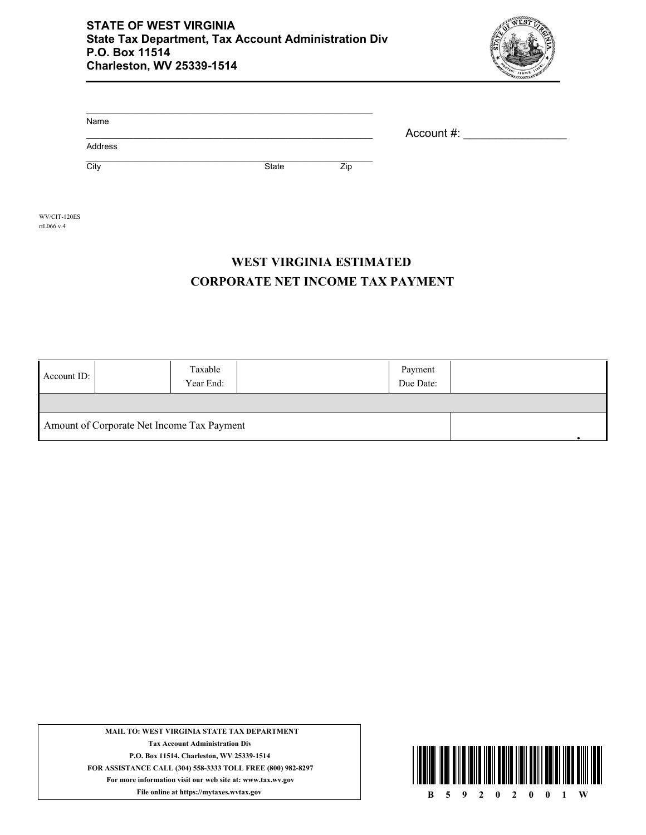

| Name    |       |     |            |
|---------|-------|-----|------------|
|         |       |     | Account #: |
| Address |       |     |            |
| City    | State | Zip |            |

WV/CIT-120ES rtL066 v.4

## **CORPORATE NET INCOME TAX PAYMENT WEST VIRGINIA ESTIMATED**

| Account ID: | Taxable<br>Year End:                       | Payment<br>Due Date: |  |  |  |  |
|-------------|--------------------------------------------|----------------------|--|--|--|--|
|             |                                            |                      |  |  |  |  |
|             | Amount of Corporate Net Income Tax Payment |                      |  |  |  |  |

**MAIL TO: WEST VIRGINIA STATE TAX DEPARTMENT Tax Account Administration Div P.O. Box 11514, Charleston, WV 25339-1514 FOR ASSISTANCE CALL (304) 558-3333 TOLL FREE (800) 982-8297 For more information visit our web site at: www.tax.wv.gov**